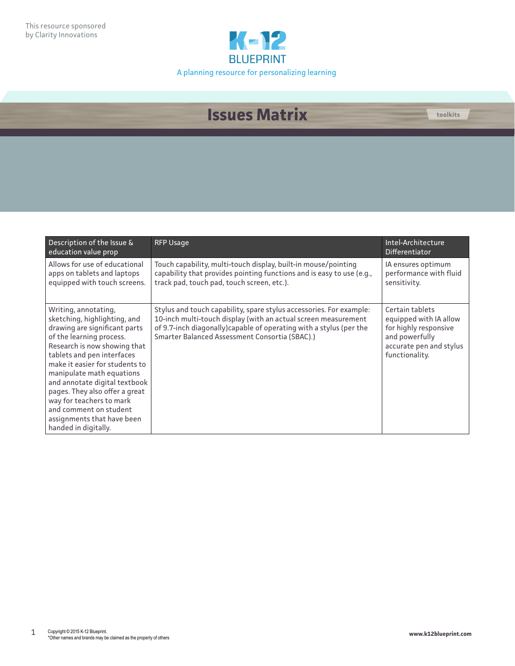

## **Issues Matrix toolkits**

| Description of the Issue &<br>education value prop                                                                                                                                                                                                                                                                                                                                                                            | <b>RFP Usage</b>                                                                                                                                                                                                                                               | Intel-Architecture<br>Differentiator                                                                                              |
|-------------------------------------------------------------------------------------------------------------------------------------------------------------------------------------------------------------------------------------------------------------------------------------------------------------------------------------------------------------------------------------------------------------------------------|----------------------------------------------------------------------------------------------------------------------------------------------------------------------------------------------------------------------------------------------------------------|-----------------------------------------------------------------------------------------------------------------------------------|
| Allows for use of educational<br>apps on tablets and laptops<br>equipped with touch screens.                                                                                                                                                                                                                                                                                                                                  | Touch capability, multi-touch display, built-in mouse/pointing<br>capability that provides pointing functions and is easy to use (e.g.,<br>track pad, touch pad, touch screen, etc.).                                                                          | IA ensures optimum<br>performance with fluid<br>sensitivity.                                                                      |
| Writing, annotating,<br>sketching, highlighting, and<br>drawing are significant parts<br>of the learning process.<br>Research is now showing that<br>tablets and pen interfaces<br>make it easier for students to<br>manipulate math equations<br>and annotate digital textbook<br>pages. They also offer a great<br>way for teachers to mark<br>and comment on student<br>assignments that have been<br>handed in digitally. | Stylus and touch capability, spare stylus accessories. For example:<br>10-inch multi-touch display (with an actual screen measurement<br>of 9.7-inch diagonally) capable of operating with a stylus (per the<br>Smarter Balanced Assessment Consortia (SBAC).) | Certain tablets<br>equipped with IA allow<br>for highly responsive<br>and powerfully<br>accurate pen and stylus<br>functionality. |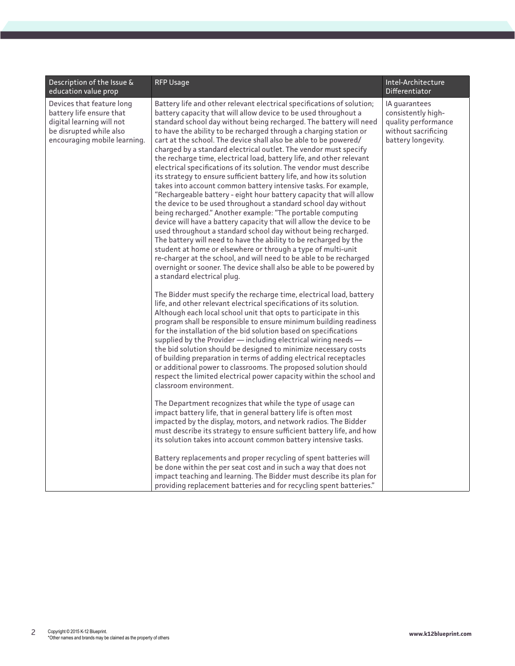| Description of the Issue &<br>education value prop                                                                                            | <b>RFP Usage</b>                                                                                                                                                                                                                                                                                                                                                                                                                                                                                                                                                                                                                                                                                                                                                                                                                                                                                                                                                                                                                                                                                                                                                                                                                                                                                                                                                                        | Intel-Architecture<br>Differentiator                                                                    |
|-----------------------------------------------------------------------------------------------------------------------------------------------|-----------------------------------------------------------------------------------------------------------------------------------------------------------------------------------------------------------------------------------------------------------------------------------------------------------------------------------------------------------------------------------------------------------------------------------------------------------------------------------------------------------------------------------------------------------------------------------------------------------------------------------------------------------------------------------------------------------------------------------------------------------------------------------------------------------------------------------------------------------------------------------------------------------------------------------------------------------------------------------------------------------------------------------------------------------------------------------------------------------------------------------------------------------------------------------------------------------------------------------------------------------------------------------------------------------------------------------------------------------------------------------------|---------------------------------------------------------------------------------------------------------|
| Devices that feature long<br>battery life ensure that<br>digital learning will not<br>be disrupted while also<br>encouraging mobile learning. | Battery life and other relevant electrical specifications of solution;<br>battery capacity that will allow device to be used throughout a<br>standard school day without being recharged. The battery will need<br>to have the ability to be recharged through a charging station or<br>cart at the school. The device shall also be able to be powered/<br>charged by a standard electrical outlet. The vendor must specify<br>the recharge time, electrical load, battery life, and other relevant<br>electrical specifications of its solution. The vendor must describe<br>its strategy to ensure sufficient battery life, and how its solution<br>takes into account common battery intensive tasks. For example,<br>"Rechargeable battery - eight hour battery capacity that will allow<br>the device to be used throughout a standard school day without<br>being recharged." Another example: "The portable computing<br>device will have a battery capacity that will allow the device to be<br>used throughout a standard school day without being recharged.<br>The battery will need to have the ability to be recharged by the<br>student at home or elsewhere or through a type of multi-unit<br>re-charger at the school, and will need to be able to be recharged<br>overnight or sooner. The device shall also be able to be powered by<br>a standard electrical plug. | IA guarantees<br>consistently high-<br>quality performance<br>without sacrificing<br>battery longevity. |
|                                                                                                                                               | The Bidder must specify the recharge time, electrical load, battery<br>life, and other relevant electrical specifications of its solution.<br>Although each local school unit that opts to participate in this<br>program shall be responsible to ensure minimum building readiness<br>for the installation of the bid solution based on specifications<br>supplied by the Provider - including electrical wiring needs -<br>the bid solution should be designed to minimize necessary costs<br>of building preparation in terms of adding electrical receptacles<br>or additional power to classrooms. The proposed solution should<br>respect the limited electrical power capacity within the school and<br>classroom environment.                                                                                                                                                                                                                                                                                                                                                                                                                                                                                                                                                                                                                                                   |                                                                                                         |
|                                                                                                                                               | The Department recognizes that while the type of usage can<br>impact battery life, that in general battery life is often most<br>impacted by the display, motors, and network radios. The Bidder<br>must describe its strategy to ensure sufficient battery life, and how<br>its solution takes into account common battery intensive tasks.                                                                                                                                                                                                                                                                                                                                                                                                                                                                                                                                                                                                                                                                                                                                                                                                                                                                                                                                                                                                                                            |                                                                                                         |
|                                                                                                                                               | Battery replacements and proper recycling of spent batteries will<br>be done within the per seat cost and in such a way that does not<br>impact teaching and learning. The Bidder must describe its plan for<br>providing replacement batteries and for recycling spent batteries."                                                                                                                                                                                                                                                                                                                                                                                                                                                                                                                                                                                                                                                                                                                                                                                                                                                                                                                                                                                                                                                                                                     |                                                                                                         |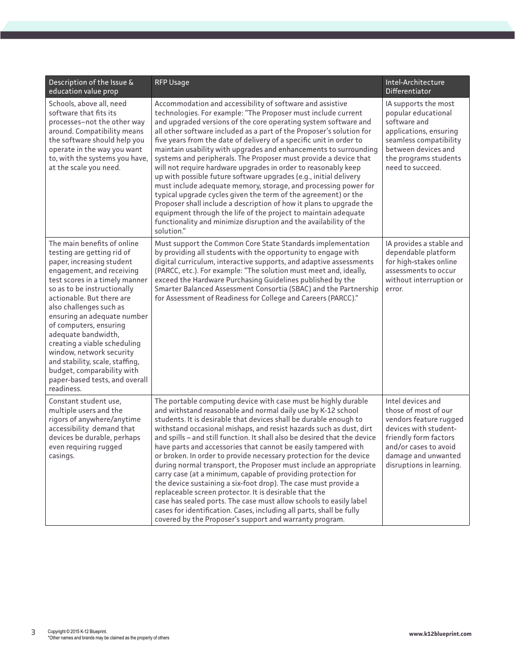| Description of the Issue &<br>education value prop                                                                                                                                                                                                                                                                                                                                                                                                                                                        | <b>RFP Usage</b>                                                                                                                                                                                                                                                                                                                                                                                                                                                                                                                                                                                                                                                                                                                                                                                                                                                                                                                                                                             | Intel-Architecture<br>Differentiator                                                                                                                                                              |
|-----------------------------------------------------------------------------------------------------------------------------------------------------------------------------------------------------------------------------------------------------------------------------------------------------------------------------------------------------------------------------------------------------------------------------------------------------------------------------------------------------------|----------------------------------------------------------------------------------------------------------------------------------------------------------------------------------------------------------------------------------------------------------------------------------------------------------------------------------------------------------------------------------------------------------------------------------------------------------------------------------------------------------------------------------------------------------------------------------------------------------------------------------------------------------------------------------------------------------------------------------------------------------------------------------------------------------------------------------------------------------------------------------------------------------------------------------------------------------------------------------------------|---------------------------------------------------------------------------------------------------------------------------------------------------------------------------------------------------|
| Schools, above all, need<br>software that fits its<br>processes-not the other way<br>around. Compatibility means<br>the software should help you<br>operate in the way you want<br>to, with the systems you have,<br>at the scale you need.                                                                                                                                                                                                                                                               | Accommodation and accessibility of software and assistive<br>technologies. For example: "The Proposer must include current<br>and upgraded versions of the core operating system software and<br>all other software included as a part of the Proposer's solution for<br>five years from the date of delivery of a specific unit in order to<br>maintain usability with upgrades and enhancements to surrounding<br>systems and peripherals. The Proposer must provide a device that<br>will not require hardware upgrades in order to reasonably keep<br>up with possible future software upgrades (e.g., initial delivery<br>must include adequate memory, storage, and processing power for<br>typical upgrade cycles given the term of the agreement) or the<br>Proposer shall include a description of how it plans to upgrade the<br>equipment through the life of the project to maintain adequate<br>functionality and minimize disruption and the availability of the<br>solution." | IA supports the most<br>popular educational<br>software and<br>applications, ensuring<br>seamless compatibility<br>between devices and<br>the programs students<br>need to succeed.               |
| The main benefits of online<br>testing are getting rid of<br>paper, increasing student<br>engagement, and receiving<br>test scores in a timely manner<br>so as to be instructionally<br>actionable. But there are<br>also challenges such as<br>ensuring an adequate number<br>of computers, ensuring<br>adequate bandwidth,<br>creating a viable scheduling<br>window, network security<br>and stability, scale, staffing,<br>budget, comparability with<br>paper-based tests, and overall<br>readiness. | Must support the Common Core State Standards implementation<br>by providing all students with the opportunity to engage with<br>digital curriculum, interactive supports, and adaptive assessments<br>(PARCC, etc.). For example: "The solution must meet and, ideally,<br>exceed the Hardware Purchasing Guidelines published by the<br>Smarter Balanced Assessment Consortia (SBAC) and the Partnership<br>for Assessment of Readiness for College and Careers (PARCC)."                                                                                                                                                                                                                                                                                                                                                                                                                                                                                                                   | IA provides a stable and<br>dependable platform<br>for high-stakes online<br>assessments to occur<br>without interruption or<br>error.                                                            |
| Constant student use,<br>multiple users and the<br>rigors of anywhere/anytime<br>accessibility demand that<br>devices be durable, perhaps<br>even requiring rugged<br>casings.                                                                                                                                                                                                                                                                                                                            | The portable computing device with case must be highly durable<br>and withstand reasonable and normal daily use by K-12 school<br>students. It is desirable that devices shall be durable enough to<br>withstand occasional mishaps, and resist hazards such as dust, dirt<br>and spills - and still function. It shall also be desired that the device<br>have parts and accessories that cannot be easily tampered with<br>or broken. In order to provide necessary protection for the device<br>during normal transport, the Proposer must include an appropriate<br>carry case (at a minimum, capable of providing protection for<br>the device sustaining a six-foot drop). The case must provide a<br>replaceable screen protector. It is desirable that the<br>case has sealed ports. The case must allow schools to easily label<br>cases for identification. Cases, including all parts, shall be fully<br>covered by the Proposer's support and warranty program.                  | Intel devices and<br>those of most of our<br>vendors feature rugged<br>devices with student-<br>friendly form factors<br>and/or cases to avoid<br>damage and unwanted<br>disruptions in learning. |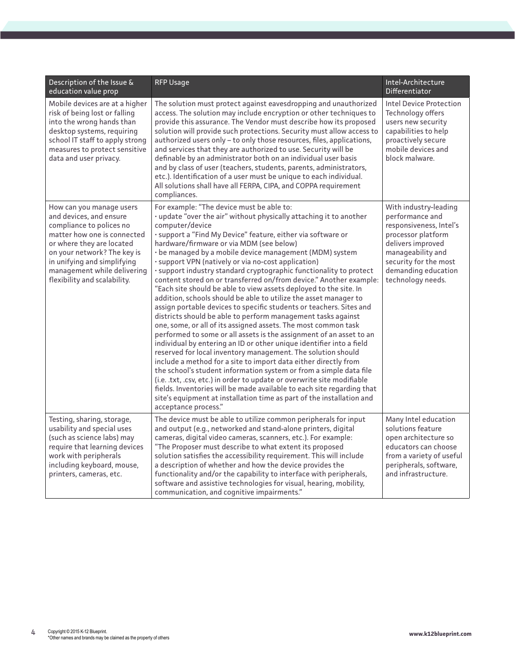| Description of the Issue &<br>education value prop                                                                                                                                                                                                                       | <b>RFP Usage</b>                                                                                                                                                                                                                                                                                                                                                                                                                                                                                                                                                                                                                                                                                                                                                                                                                                                                                                                                                                                                                                                                                                                                                                                                                                                                                                                                                                                                                                                             | Intel-Architecture<br>Differentiator                                                                                                                                                                     |
|--------------------------------------------------------------------------------------------------------------------------------------------------------------------------------------------------------------------------------------------------------------------------|------------------------------------------------------------------------------------------------------------------------------------------------------------------------------------------------------------------------------------------------------------------------------------------------------------------------------------------------------------------------------------------------------------------------------------------------------------------------------------------------------------------------------------------------------------------------------------------------------------------------------------------------------------------------------------------------------------------------------------------------------------------------------------------------------------------------------------------------------------------------------------------------------------------------------------------------------------------------------------------------------------------------------------------------------------------------------------------------------------------------------------------------------------------------------------------------------------------------------------------------------------------------------------------------------------------------------------------------------------------------------------------------------------------------------------------------------------------------------|----------------------------------------------------------------------------------------------------------------------------------------------------------------------------------------------------------|
| Mobile devices are at a higher<br>risk of being lost or falling<br>into the wrong hands than<br>desktop systems, requiring<br>school IT staff to apply strong<br>measures to protect sensitive<br>data and user privacy.                                                 | The solution must protect against eavesdropping and unauthorized<br>access. The solution may include encryption or other techniques to<br>provide this assurance. The Vendor must describe how its proposed<br>solution will provide such protections. Security must allow access to<br>authorized users only - to only those resources, files, applications,<br>and services that they are authorized to use. Security will be<br>definable by an administrator both on an individual user basis<br>and by class of user (teachers, students, parents, administrators,<br>etc.). Identification of a user must be unique to each individual.<br>All solutions shall have all FERPA, CIPA, and COPPA requirement<br>compliances.                                                                                                                                                                                                                                                                                                                                                                                                                                                                                                                                                                                                                                                                                                                                             | <b>Intel Device Protection</b><br>Technology offers<br>users new security<br>capabilities to help<br>proactively secure<br>mobile devices and<br>block malware.                                          |
| How can you manage users<br>and devices, and ensure<br>compliance to polices no<br>matter how one is connected<br>or where they are located<br>on your network? The key is<br>in unifying and simplifying<br>management while delivering<br>flexibility and scalability. | For example: "The device must be able to:<br>. update "over the air" without physically attaching it to another<br>computer/device<br>· support a "Find My Device" feature, either via software or<br>hardware/firmware or via MDM (see below)<br>· be managed by a mobile device management (MDM) system<br>· support VPN (natively or via no-cost application)<br>· support industry standard cryptographic functionality to protect<br>content stored on or transferred on/from device." Another example:<br>"Each site should be able to view assets deployed to the site. In<br>addition, schools should be able to utilize the asset manager to<br>assign portable devices to specific students or teachers. Sites and<br>districts should be able to perform management tasks against<br>one, some, or all of its assigned assets. The most common task<br>performed to some or all assets is the assignment of an asset to an<br>individual by entering an ID or other unique identifier into a field<br>reserved for local inventory management. The solution should<br>include a method for a site to import data either directly from<br>the school's student information system or from a simple data file<br>(i.e. .txt, .csv, etc.) in order to update or overwrite site modifiable<br>fields. Inventories will be made available to each site regarding that<br>site's equipment at installation time as part of the installation and<br>acceptance process." | With industry-leading<br>performance and<br>responsiveness, Intel's<br>processor platform<br>delivers improved<br>manageability and<br>security for the most<br>demanding education<br>technology needs. |
| Testing, sharing, storage,<br>usability and special uses<br>(such as science labs) may<br>require that learning devices<br>work with peripherals<br>including keyboard, mouse,<br>printers, cameras, etc.                                                                | The device must be able to utilize common peripherals for input<br>and output (e.g., networked and stand-alone printers, digital<br>cameras, digital video cameras, scanners, etc.). For example:<br>"The Proposer must describe to what extent its proposed<br>solution satisfies the accessibility requirement. This will include<br>a description of whether and how the device provides the<br>functionality and/or the capability to interface with peripherals,<br>software and assistive technologies for visual, hearing, mobility,<br>communication, and cognitive impairments."                                                                                                                                                                                                                                                                                                                                                                                                                                                                                                                                                                                                                                                                                                                                                                                                                                                                                    | Many Intel education<br>solutions feature<br>open architecture so<br>educators can choose<br>from a variety of useful<br>peripherals, software,<br>and infrastructure.                                   |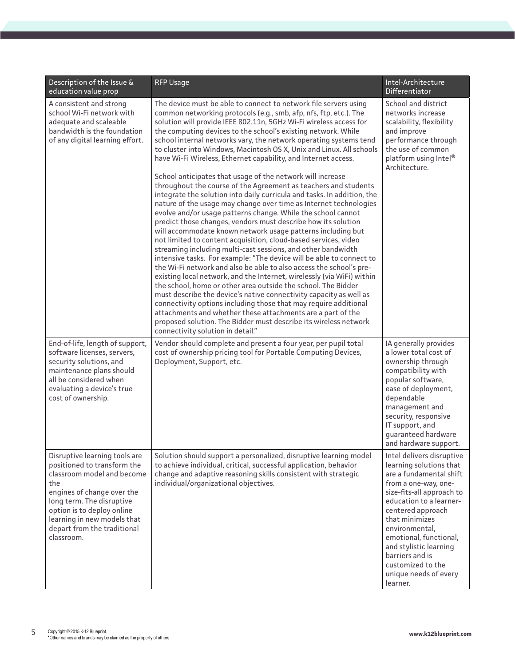| Description of the Issue &<br>education value prop                                                                                                                                                                                                                     | <b>RFP Usage</b>                                                                                                                                                                                                                                                                                                                                                                                                                                                                                                                                                                                                                                                                                                                                                                                                                                                                                                                                                                                                                                                                                                                                                                                                                                                                                                                                                                                                                                                                                                                                                                                                                                                                       | Intel-Architecture<br>Differentiator                                                                                                                                                                                                                                                                                                                      |
|------------------------------------------------------------------------------------------------------------------------------------------------------------------------------------------------------------------------------------------------------------------------|----------------------------------------------------------------------------------------------------------------------------------------------------------------------------------------------------------------------------------------------------------------------------------------------------------------------------------------------------------------------------------------------------------------------------------------------------------------------------------------------------------------------------------------------------------------------------------------------------------------------------------------------------------------------------------------------------------------------------------------------------------------------------------------------------------------------------------------------------------------------------------------------------------------------------------------------------------------------------------------------------------------------------------------------------------------------------------------------------------------------------------------------------------------------------------------------------------------------------------------------------------------------------------------------------------------------------------------------------------------------------------------------------------------------------------------------------------------------------------------------------------------------------------------------------------------------------------------------------------------------------------------------------------------------------------------|-----------------------------------------------------------------------------------------------------------------------------------------------------------------------------------------------------------------------------------------------------------------------------------------------------------------------------------------------------------|
| A consistent and strong<br>school Wi-Fi network with<br>adequate and scaleable<br>bandwidth is the foundation<br>of any digital learning effort.                                                                                                                       | The device must be able to connect to network file servers using<br>common networking protocols (e.g., smb, afp, nfs, ftp, etc.). The<br>solution will provide IEEE 802.11n, 5GHz Wi-Fi wireless access for<br>the computing devices to the school's existing network. While<br>school internal networks vary, the network operating systems tend<br>to cluster into Windows, Macintosh OS X, Unix and Linux. All schools<br>have Wi-Fi Wireless, Ethernet capability, and Internet access.<br>School anticipates that usage of the network will increase<br>throughout the course of the Agreement as teachers and students<br>integrate the solution into daily curricula and tasks. In addition, the<br>nature of the usage may change over time as Internet technologies<br>evolve and/or usage patterns change. While the school cannot<br>predict those changes, vendors must describe how its solution<br>will accommodate known network usage patterns including but<br>not limited to content acquisition, cloud-based services, video<br>streaming including multi-cast sessions, and other bandwidth<br>intensive tasks. For example: "The device will be able to connect to<br>the Wi-Fi network and also be able to also access the school's pre-<br>existing local network, and the Internet, wirelessly (via WiFi) within<br>the school, home or other area outside the school. The Bidder<br>must describe the device's native connectivity capacity as well as<br>connectivity options including those that may require additional<br>attachments and whether these attachments are a part of the<br>proposed solution. The Bidder must describe its wireless network | School and district<br>networks increase<br>scalability, flexibility<br>and improve<br>performance through<br>the use of common<br>platform using Intel®<br>Architecture.                                                                                                                                                                                 |
| End-of-life, length of support,<br>software licenses, servers,<br>security solutions, and<br>maintenance plans should<br>all be considered when<br>evaluating a device's true<br>cost of ownership.                                                                    | connectivity solution in detail."<br>Vendor should complete and present a four year, per pupil total<br>cost of ownership pricing tool for Portable Computing Devices,<br>Deployment, Support, etc.                                                                                                                                                                                                                                                                                                                                                                                                                                                                                                                                                                                                                                                                                                                                                                                                                                                                                                                                                                                                                                                                                                                                                                                                                                                                                                                                                                                                                                                                                    | IA generally provides<br>a lower total cost of<br>ownership through<br>compatibility with<br>popular software,<br>ease of deployment,<br>dependable<br>management and<br>security, responsive<br>IT support, and<br>quaranteed hardware<br>and hardware support.                                                                                          |
| Disruptive learning tools are<br>positioned to transform the<br>classroom model and become<br>the<br>engines of change over the<br>long term. The disruptive<br>option is to deploy online<br>learning in new models that<br>depart from the traditional<br>classroom. | Solution should support a personalized, disruptive learning model<br>to achieve individual, critical, successful application, behavior<br>change and adaptive reasoning skills consistent with strategic<br>individual/organizational objectives.                                                                                                                                                                                                                                                                                                                                                                                                                                                                                                                                                                                                                                                                                                                                                                                                                                                                                                                                                                                                                                                                                                                                                                                                                                                                                                                                                                                                                                      | Intel delivers disruptive<br>learning solutions that<br>are a fundamental shift<br>from a one-way, one-<br>size-fits-all approach to<br>education to a learner-<br>centered approach<br>that minimizes<br>environmental,<br>emotional, functional,<br>and stylistic learning<br>barriers and is<br>customized to the<br>unique needs of every<br>learner. |